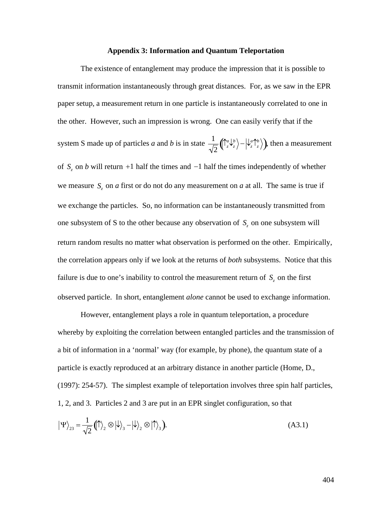## **Appendix 3: Information and Quantum Teleportation**

The existence of entanglement may produce the impression that it is possible to transmit information instantaneously through great distances. For, as we saw in the EPR paper setup, a measurement return in one particle is instantaneously correlated to one in the other. However, such an impression is wrong. One can easily verify that if the system S made up of particles *a* and *b* is in state  $\frac{1}{\sqrt{2}} \left( \int_{z}^{a} \psi_{z}^{b} \right)$ . we measure  $S_z$  on *a* first or do not do any measurement on *a* at all. The same is true if  $\frac{1}{2} \left( \int_{z}^{a} \psi_{z}^{b} \rangle - \psi_{z}^{a} \gamma_{z}^{b} \rangle \right)$ , then a measurement of  $S_z$  on *b* will return  $+1$  half the times and  $-1$  half the times independently of whether we exchange the particles. So, no information can be instantaneously transmitted from one subsystem of S to the other because any observation of  $S_z$  on one subsystem will return random results no matter what observation is performed on the other. Empirically, the correlation appears only if we look at the returns of *both* subsystems. Notice that this failure is due to one's inability to control the measurement return of  $S<sub>z</sub>$  on the first observed particle. In short, entanglement *alone* cannot be used to exchange information.

However, entanglement plays a role in quantum teleportation, a procedure whereby by exploiting the correlation between entangled particles and the transmission of a bit of information in a 'normal' way (for example, by phone), the quantum state of a particle is exactly reproduced at an arbitrary distance in another particle (Home, D., (1997): 254-57). The simplest example of teleportation involves three spin half particles, 1, 2, and 3. Particles 2 and 3 are put in an EPR singlet configuration, so that

$$
|\Psi\rangle_{23} = \frac{1}{\sqrt{2}} (|\!\!\!\uparrow\rangle_2 \otimes |\!\!\!\downarrow\rangle_3 - |\!\!\!\downarrow\rangle_2 \otimes |\!\!\!\uparrow\rangle_3).
$$
 (A3.1)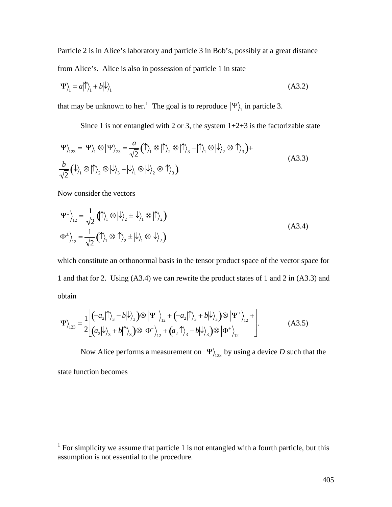Particle 2 is in Alice's laboratory and particle 3 in Bob's, possibly at a great distance from Alice's. Alice is also in possession of particle 1 in state

$$
|\Psi\rangle_1 = a|\hat{\mathcal{D}}\rangle_1 + b|\hat{\mathcal{V}}\rangle_1
$$
 (A3.2)

that may be unknown to her.<sup>1</sup> The goal is to reproduce  $|\Psi\rangle$  in particle 3.

Since 1 is not entangled with 2 or 3, the system  $1+2+3$  is the factorizable state

$$
|\Psi\rangle_{123} = |\Psi\rangle_{1} \otimes |\Psi\rangle_{23} = \frac{a}{\sqrt{2}} (|\uparrow\rangle_{1} \otimes |\uparrow\rangle_{2} \otimes |\uparrow\rangle_{3} - |\uparrow\rangle_{1} \otimes |\downarrow\rangle_{2} \otimes |\uparrow\rangle_{3}) +
$$
  
\n
$$
\frac{b}{\sqrt{2}} (|\downarrow\rangle_{1} \otimes |\uparrow\rangle_{2} \otimes |\downarrow\rangle_{3} - |\downarrow\rangle_{1} \otimes |\downarrow\rangle_{2} \otimes |\uparrow\rangle_{3})
$$
\n(A3.3)

Now consider the vectors

$$
\left| \Psi^{\pm} \right\rangle_{12} = \frac{1}{\sqrt{2}} \left( \mathbb{1} \right\rangle_{1} \otimes \left| \psi \right\rangle_{2} \pm \left| \psi \right\rangle_{1} \otimes \left| \mathbb{1} \right\rangle_{2}
$$
\n
$$
\left| \Phi^{\pm} \right\rangle_{12} = \frac{1}{\sqrt{2}} \left( \mathbb{1} \right\rangle_{1} \otimes \left| \mathbb{1} \right\rangle_{2} \pm \left| \psi \right\rangle_{1} \otimes \left| \psi \right\rangle_{2}
$$
\n(A3.4)

which constitute an orthonormal basis in the tensor product space of the vector space for 1 and that for 2. Using (A3.4) we can rewrite the product states of 1 and 2 in (A3.3) and obtain

$$
|\Psi\rangle_{123} = \frac{1}{2} \left[ \left( -a_2|\uparrow\rangle_3 - b|\downarrow\rangle_3 \right) \otimes |\Psi^-\rangle_{12} + \left( -a_2|\uparrow\rangle_3 + b|\downarrow\rangle_3 \right) \otimes |\Psi^+\rangle_{12} + \left[ \left( a_2|\downarrow\rangle_3 + b|\uparrow\rangle_3 \right) \otimes |\Phi^-\rangle_{12} + \left( a_2|\uparrow\rangle_3 - b|\downarrow\rangle_3 \right) \otimes |\Phi^+\rangle_{12} \right].
$$
 (A3.5)

Now Alice performs a measurement on  $|\Psi\rangle_{123}$  by using a device D such that the state function becomes

<sup>&</sup>lt;sup>1</sup> For simplicity we assume that particle 1 is not entangled with a fourth particle, but this assumption is not essential to the procedure.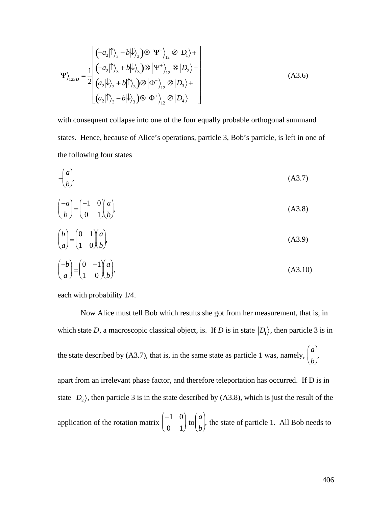$$
|\Psi\rangle_{123D} = \frac{1}{2} \begin{bmatrix} (-a_2|\uparrow\rangle_3 - b|\downarrow\rangle_3) \otimes |\Psi^-\rangle_{12} \otimes |D_1\rangle + \\ (-a_2|\uparrow\rangle_3 + b|\downarrow\rangle_3) \otimes |\Psi^+\rangle_{12} \otimes |D_2\rangle + \\ (a_2|\downarrow\rangle_3 + b|\uparrow\rangle_3) \otimes |\Phi^-\rangle_{12} \otimes |D_3\rangle + \\ (a_2|\uparrow\rangle_3 - b|\downarrow\rangle_3) \otimes |\Phi^+\rangle_{12} \otimes |D_4\rangle \end{bmatrix}
$$
(A3.6)

with consequent collapse into one of the four equally probable orthogonal summand states. Hence, because of Alice's operations, particle 3, Bob's particle, is left in one of the following four states

$$
-\binom{a}{b}.\tag{A3.7}
$$

$$
\begin{pmatrix} -a \\ b \end{pmatrix} = \begin{pmatrix} -1 & 0 \\ 0 & 1 \end{pmatrix} \begin{pmatrix} a \\ b \end{pmatrix},
$$
\n(A3.8)

$$
\begin{pmatrix} b \\ a \end{pmatrix} = \begin{pmatrix} 0 & 1 \\ 1 & 0 \end{pmatrix} \begin{pmatrix} a \\ b \end{pmatrix},
$$
 (A3.9)

$$
\begin{pmatrix} -b \\ a \end{pmatrix} = \begin{pmatrix} 0 & -1 \\ 1 & 0 \end{pmatrix} \begin{pmatrix} a \\ b \end{pmatrix},\tag{A3.10}
$$

each with probability 1/4.

Now Alice must tell Bob which results she got from her measurement, that is, in which state *D*, a macroscopic classical object, is. If *D* is in state  $|D_1\rangle$ , then particle 3 is in the state described by (A3.7), that is, in the same state as particle 1 was, namely, state  $|D_2\rangle$ , then particle 3 is in the state described by (A3.8), which is just the result of the *a b*  $\begin{pmatrix} a \\ b \end{pmatrix}$ apart from an irrelevant phase factor, and therefore teleportation has occurred. If D is in application of the rotation matrix  $-1$  0)  $\left(a\right)$  $0 \quad 1 \quad (b)$  $\begin{pmatrix} -1 & 0 \\ 0 & 1 \end{pmatrix}$  to  $\begin{pmatrix} a \\ b \end{pmatrix}$  $a\vert_{\mathcal{A}}$ *b*<sup>*f*</sup>  $\frac{1}{2}$  $\begin{pmatrix} a \\ b \end{pmatrix}$ , the state of particle 1. All Bob needs to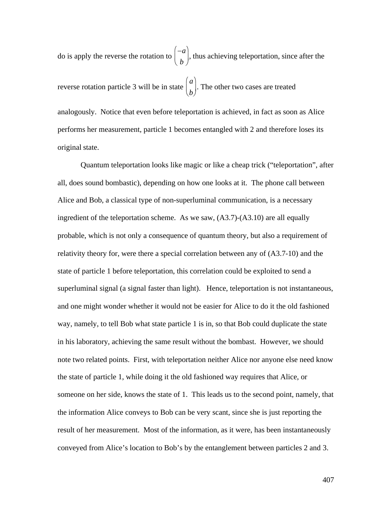do is apply the reverse the rotation to  $-a$ ] *b*)  $\begin{pmatrix} -a \\ b \end{pmatrix}$ , thus achieving teleportation, since after the reverse rotation particle 3 will be in state † performs her measurement, particle 1 becomes entangled with 2 and therefore loses its  $a\vert_{\mathbf{m}}$ *b*  $\begin{pmatrix} a \\ b \end{pmatrix}$ . The other two cases are treated analogously. Notice that even before teleportation is achieved, in fact as soon as Alice original state.

Quantum teleportation looks like magic or like a cheap trick ("teleportation", after all, does sound bombastic), depending on how one looks at it. The phone call between Alice and Bob, a classical type of non-superluminal communication, is a necessary ingredient of the teleportation scheme. As we saw, (A3.7)-(A3.10) are all equally probable, which is not only a consequence of quantum theory, but also a requirement of relativity theory for, were there a special correlation between any of (A3.7-10) and the state of particle 1 before teleportation, this correlation could be exploited to send a superluminal signal (a signal faster than light). Hence, teleportation is not instantaneous, and one might wonder whether it would not be easier for Alice to do it the old fashioned way, namely, to tell Bob what state particle 1 is in, so that Bob could duplicate the state in his laboratory, achieving the same result without the bombast. However, we should note two related points. First, with teleportation neither Alice nor anyone else need know the state of particle 1, while doing it the old fashioned way requires that Alice, or someone on her side, knows the state of 1. This leads us to the second point, namely, that the information Alice conveys to Bob can be very scant, since she is just reporting the result of her measurement. Most of the information, as it were, has been instantaneously conveyed from Alice's location to Bob's by the entanglement between particles 2 and 3.

407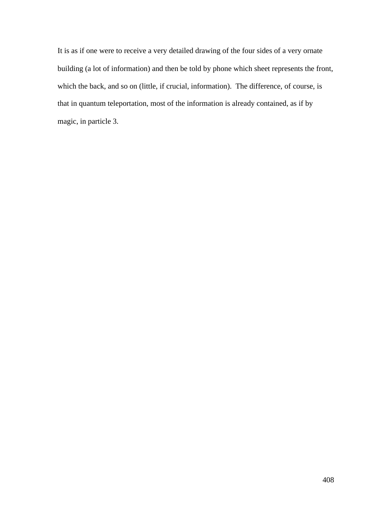It is as if one were to receive a very detailed drawing of the four sides of a very ornate building (a lot of information) and then be told by phone which sheet represents the front, which the back, and so on (little, if crucial, information). The difference, of course, is that in quantum teleportation, most of the information is already contained, as if by magic, in particle 3.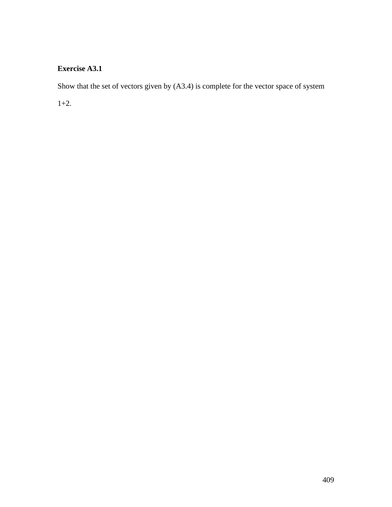## **Exercise A3.1**

Show that the set of vectors given by (A3.4) is complete for the vector space of system

1+2.